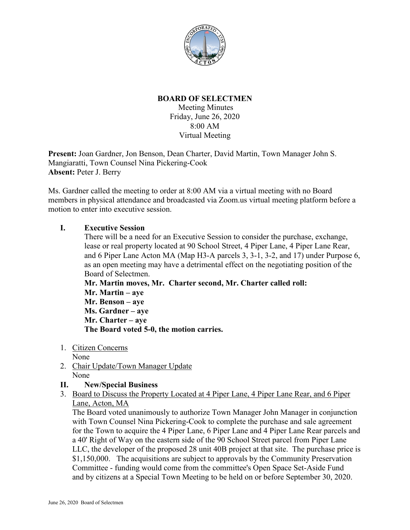

## **BOARD OF SELECTMEN**

Meeting Minutes Friday, June 26, 2020 8:00 AM Virtual Meeting

**Present:** Joan Gardner, Jon Benson, Dean Charter, David Martin, Town Manager John S. Mangiaratti, Town Counsel Nina Pickering-Cook **Absent:** Peter J. Berry

Ms. Gardner called the meeting to order at 8:00 AM via a virtual meeting with no Board members in physical attendance and broadcasted via Zoom.us virtual meeting platform before a motion to enter into executive session.

## **I. Executive Session**

There will be a need for an Executive Session to consider the purchase, exchange, lease or real property located at 90 School Street, 4 Piper Lane, 4 Piper Lane Rear, and 6 Piper Lane Acton MA (Map H3-A parcels 3, 3-1, 3-2, and 17) under Purpose 6, as an open meeting may have a detrimental effect on the negotiating position of the Board of Selectmen.

**Mr. Martin moves, Mr. Charter second, Mr. Charter called roll: Mr. Martin – aye Mr. Benson – aye Ms. Gardner – aye Mr. Charter – aye The Board voted 5-0, the motion carries.**

1. Citizen Concerns

None

- 2. Chair Update/Town Manager Update None
- **II. New/Special Business**
- 3. Board to Discuss the Property Located at 4 Piper Lane, 4 Piper Lane Rear, and 6 Piper Lane, Acton, MA

The Board voted unanimously to authorize Town Manager John Manager in conjunction with Town Counsel Nina Pickering-Cook to complete the purchase and sale agreement for the Town to acquire the 4 Piper Lane, 6 Piper Lane and 4 Piper Lane Rear parcels and a 40' Right of Way on the eastern side of the 90 School Street parcel from Piper Lane LLC, the developer of the proposed 28 unit 40B project at that site. The purchase price is \$1,150,000. The acquisitions are subject to approvals by the Community Preservation Committee - funding would come from the committee's Open Space Set-Aside Fund and by citizens at a Special Town Meeting to be held on or before September 30, 2020.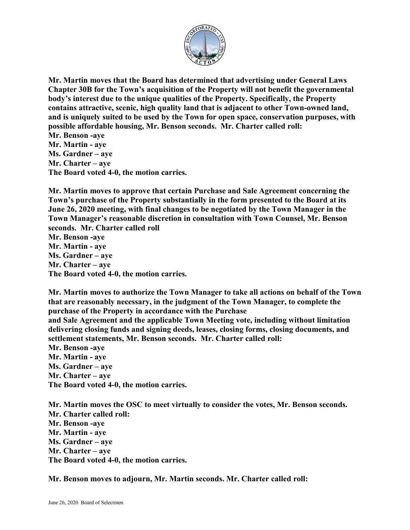

**Mr. Martin moves that the Board has determined that advertising under General Laws Chapter 30B for the Town's acquisition of the Property will not benefit the governmental body's interest due to the unique qualities of the Property. Specifically, the Property contains attractive, scenic, high quality land that is adjacent to other Town-owned land, and is uniquely suited to be used by the Town for open space, conservation purposes, with possible affordable housing, Mr. Benson seconds. Mr. Charter called roll:**

**Mr. Benson -aye Mr. Martin - aye Ms. Gardner – aye Mr. Charter – aye The Board voted 4-0, the motion carries.**

**Mr. Martin moves to approve that certain Purchase and Sale Agreement concerning the Town's purchase of the Property substantially in the form presented to the Board at its June 26, 2020 meeting, with final changes to be negotiated by the Town Manager in the Town Manager's reasonable discretion in consultation with Town Counsel, Mr. Benson seconds. Mr. Charter called roll Mr. Benson -aye**

**Mr. Martin - aye Ms. Gardner – aye Mr. Charter – aye The Board voted 4-0, the motion carries.**

**Mr. Martin moves to authorize the Town Manager to take all actions on behalf of the Town that are reasonably necessary, in the judgment of the Town Manager, to complete the purchase of the Property in accordance with the Purchase** 

**and Sale Agreement and the applicable Town Meeting vote, including without limitation delivering closing funds and signing deeds, leases, closing forms, closing documents, and settlement statements, Mr. Benson seconds. Mr. Charter called roll:**

**Mr. Benson -aye**

**Mr. Martin - aye Ms. Gardner – aye**

**Mr. Charter – aye**

**The Board voted 4-0, the motion carries.**

**Mr. Martin moves the OSC to meet virtually to consider the votes, Mr. Benson seconds. Mr. Charter called roll: Mr. Benson -aye Mr. Martin - aye Ms. Gardner – aye Mr. Charter – aye The Board voted 4-0, the motion carries.**

**Mr. Benson moves to adjourn, Mr. Martin seconds. Mr. Charter called roll:**